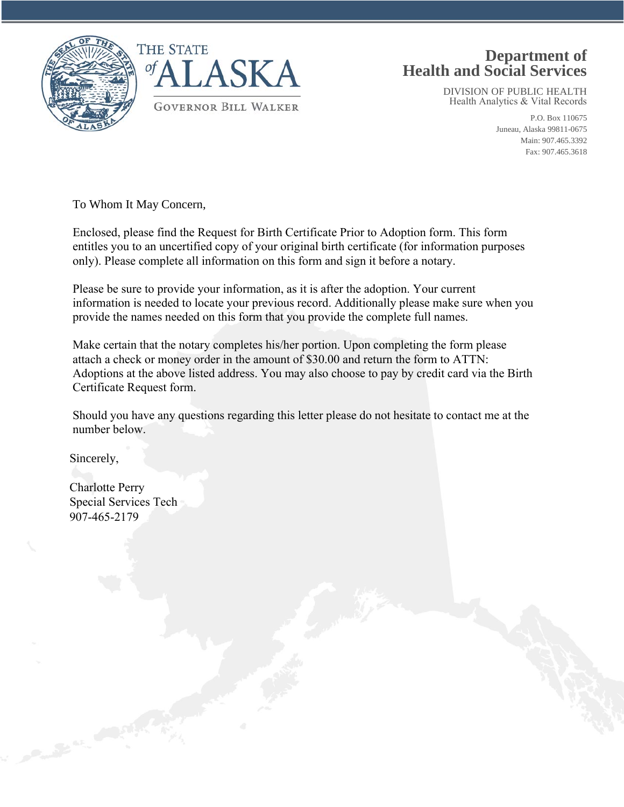

## **Department of Health and Social Services**

DIVISION OF PUBLIC HEALTH Health Analytics & Vital Records

> P.O. Box 110675 Juneau, Alaska 99811-0675 Main: 907.465.3392 Fax: 907.465.3618

To Whom It May Concern,

Enclosed, please find the Request for Birth Certificate Prior to Adoption form. This form entitles you to an uncertified copy of your original birth certificate (for information purposes only). Please complete all information on this form and sign it before a notary.

Please be sure to provide your information, as it is after the adoption. Your current information is needed to locate your previous record. Additionally please make sure when you provide the names needed on this form that you provide the complete full names.

Make certain that the notary completes his/her portion. Upon completing the form please attach a check or money order in the amount of \$30.00 and return the form to ATTN: Adoptions at the above listed address. You may also choose to pay by credit card via the Birth Certificate Request form.

Should you have any questions regarding this letter please do not hesitate to contact me at the number below.

Sincerely,

Charlotte Perry Special Services Tech 907-465-2179